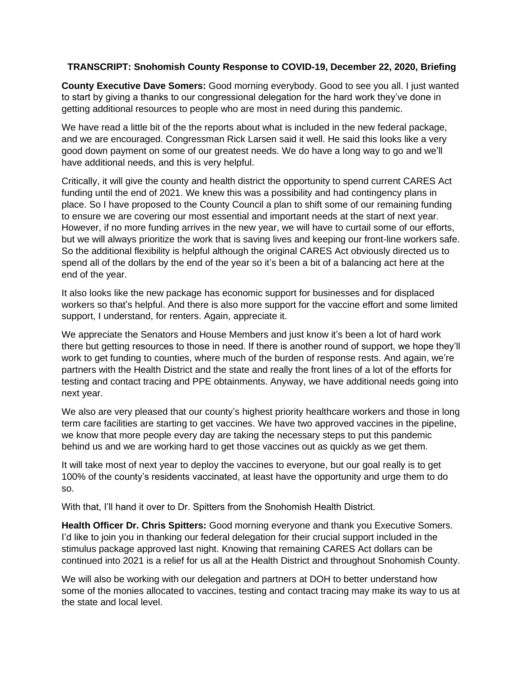## **TRANSCRIPT: Snohomish County Response to COVID-19, December 22, 2020, Briefing**

**County Executive Dave Somers:** Good morning everybody. Good to see you all. I just wanted to start by giving a thanks to our congressional delegation for the hard work they've done in getting additional resources to people who are most in need during this pandemic.

We have read a little bit of the the reports about what is included in the new federal package, and we are encouraged. Congressman Rick Larsen said it well. He said this looks like a very good down payment on some of our greatest needs. We do have a long way to go and we'll have additional needs, and this is very helpful.

Critically, it will give the county and health district the opportunity to spend current CARES Act funding until the end of 2021. We knew this was a possibility and had contingency plans in place. So I have proposed to the County Council a plan to shift some of our remaining funding to ensure we are covering our most essential and important needs at the start of next year. However, if no more funding arrives in the new year, we will have to curtail some of our efforts, but we will always prioritize the work that is saving lives and keeping our front-line workers safe. So the additional flexibility is helpful although the original CARES Act obviously directed us to spend all of the dollars by the end of the year so it's been a bit of a balancing act here at the end of the year.

It also looks like the new package has economic support for businesses and for displaced workers so that's helpful. And there is also more support for the vaccine effort and some limited support, I understand, for renters. Again, appreciate it.

We appreciate the Senators and House Members and just know it's been a lot of hard work there but getting resources to those in need. If there is another round of support, we hope they'll work to get funding to counties, where much of the burden of response rests. And again, we're partners with the Health District and the state and really the front lines of a lot of the efforts for testing and contact tracing and PPE obtainments. Anyway, we have additional needs going into next year.

We also are very pleased that our county's highest priority healthcare workers and those in long term care facilities are starting to get vaccines. We have two approved vaccines in the pipeline, we know that more people every day are taking the necessary steps to put this pandemic behind us and we are working hard to get those vaccines out as quickly as we get them.

It will take most of next year to deploy the vaccines to everyone, but our goal really is to get 100% of the county's residents vaccinated, at least have the opportunity and urge them to do so.

With that, I'll hand it over to Dr. Spitters from the Snohomish Health District.

**Health Officer Dr. Chris Spitters:** Good morning everyone and thank you Executive Somers. I'd like to join you in thanking our federal delegation for their crucial support included in the stimulus package approved last night. Knowing that remaining CARES Act dollars can be continued into 2021 is a relief for us all at the Health District and throughout Snohomish County.

We will also be working with our delegation and partners at DOH to better understand how some of the monies allocated to vaccines, testing and contact tracing may make its way to us at the state and local level.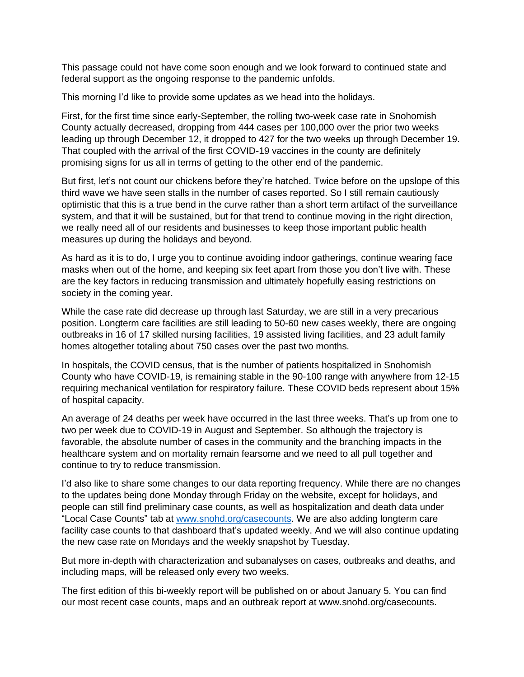This passage could not have come soon enough and we look forward to continued state and federal support as the ongoing response to the pandemic unfolds.

This morning I'd like to provide some updates as we head into the holidays.

First, for the first time since early-September, the rolling two-week case rate in Snohomish County actually decreased, dropping from 444 cases per 100,000 over the prior two weeks leading up through December 12, it dropped to 427 for the two weeks up through December 19. That coupled with the arrival of the first COVID-19 vaccines in the county are definitely promising signs for us all in terms of getting to the other end of the pandemic.

But first, let's not count our chickens before they're hatched. Twice before on the upslope of this third wave we have seen stalls in the number of cases reported. So I still remain cautiously optimistic that this is a true bend in the curve rather than a short term artifact of the surveillance system, and that it will be sustained, but for that trend to continue moving in the right direction, we really need all of our residents and businesses to keep those important public health measures up during the holidays and beyond.

As hard as it is to do, I urge you to continue avoiding indoor gatherings, continue wearing face masks when out of the home, and keeping six feet apart from those you don't live with. These are the key factors in reducing transmission and ultimately hopefully easing restrictions on society in the coming year.

While the case rate did decrease up through last Saturday, we are still in a very precarious position. Longterm care facilities are still leading to 50-60 new cases weekly, there are ongoing outbreaks in 16 of 17 skilled nursing facilities, 19 assisted living facilities, and 23 adult family homes altogether totaling about 750 cases over the past two months.

In hospitals, the COVID census, that is the number of patients hospitalized in Snohomish County who have COVID-19, is remaining stable in the 90-100 range with anywhere from 12-15 requiring mechanical ventilation for respiratory failure. These COVID beds represent about 15% of hospital capacity.

An average of 24 deaths per week have occurred in the last three weeks. That's up from one to two per week due to COVID-19 in August and September. So although the trajectory is favorable, the absolute number of cases in the community and the branching impacts in the healthcare system and on mortality remain fearsome and we need to all pull together and continue to try to reduce transmission.

I'd also like to share some changes to our data reporting frequency. While there are no changes to the updates being done Monday through Friday on the website, except for holidays, and people can still find preliminary case counts, as well as hospitalization and death data under "Local Case Counts" tab at [www.snohd.org/casecounts.](http://www.snohd.org/casecounts) We are also adding longterm care facility case counts to that dashboard that's updated weekly. And we will also continue updating the new case rate on Mondays and the weekly snapshot by Tuesday.

But more in-depth with characterization and subanalyses on cases, outbreaks and deaths, and including maps, will be released only every two weeks.

The first edition of this bi-weekly report will be published on or about January 5. You can find our most recent case counts, maps and an outbreak report at www.snohd.org/casecounts.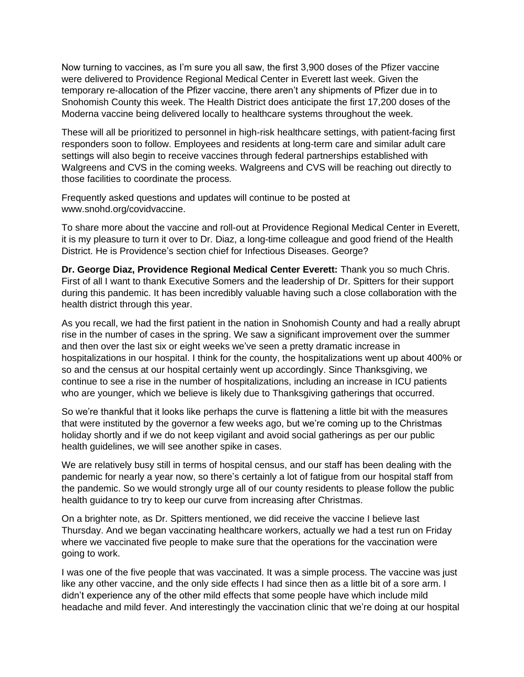Now turning to vaccines, as I'm sure you all saw, the first 3,900 doses of the Pfizer vaccine were delivered to Providence Regional Medical Center in Everett last week. Given the temporary re-allocation of the Pfizer vaccine, there aren't any shipments of Pfizer due in to Snohomish County this week. The Health District does anticipate the first 17,200 doses of the Moderna vaccine being delivered locally to healthcare systems throughout the week.

These will all be prioritized to personnel in high-risk healthcare settings, with patient-facing first responders soon to follow. Employees and residents at long-term care and similar adult care settings will also begin to receive vaccines through federal partnerships established with Walgreens and CVS in the coming weeks. Walgreens and CVS will be reaching out directly to those facilities to coordinate the process.

Frequently asked questions and updates will continue to be posted at www.snohd.org/covidvaccine.

To share more about the vaccine and roll-out at Providence Regional Medical Center in Everett, it is my pleasure to turn it over to Dr. Diaz, a long-time colleague and good friend of the Health District. He is Providence's section chief for Infectious Diseases. George?

**Dr. George Diaz, Providence Regional Medical Center Everett:** Thank you so much Chris. First of all I want to thank Executive Somers and the leadership of Dr. Spitters for their support during this pandemic. It has been incredibly valuable having such a close collaboration with the health district through this year.

As you recall, we had the first patient in the nation in Snohomish County and had a really abrupt rise in the number of cases in the spring. We saw a significant improvement over the summer and then over the last six or eight weeks we've seen a pretty dramatic increase in hospitalizations in our hospital. I think for the county, the hospitalizations went up about 400% or so and the census at our hospital certainly went up accordingly. Since Thanksgiving, we continue to see a rise in the number of hospitalizations, including an increase in ICU patients who are younger, which we believe is likely due to Thanksgiving gatherings that occurred.

So we're thankful that it looks like perhaps the curve is flattening a little bit with the measures that were instituted by the governor a few weeks ago, but we're coming up to the Christmas holiday shortly and if we do not keep vigilant and avoid social gatherings as per our public health guidelines, we will see another spike in cases.

We are relatively busy still in terms of hospital census, and our staff has been dealing with the pandemic for nearly a year now, so there's certainly a lot of fatigue from our hospital staff from the pandemic. So we would strongly urge all of our county residents to please follow the public health guidance to try to keep our curve from increasing after Christmas.

On a brighter note, as Dr. Spitters mentioned, we did receive the vaccine I believe last Thursday. And we began vaccinating healthcare workers, actually we had a test run on Friday where we vaccinated five people to make sure that the operations for the vaccination were going to work.

I was one of the five people that was vaccinated. It was a simple process. The vaccine was just like any other vaccine, and the only side effects I had since then as a little bit of a sore arm. I didn't experience any of the other mild effects that some people have which include mild headache and mild fever. And interestingly the vaccination clinic that we're doing at our hospital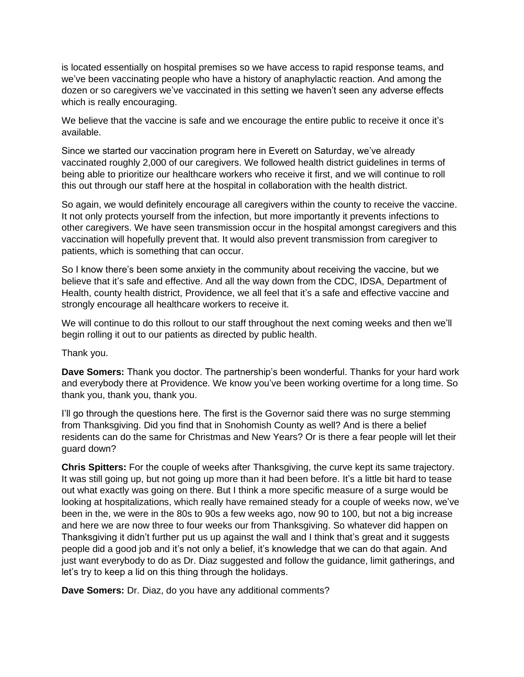is located essentially on hospital premises so we have access to rapid response teams, and we've been vaccinating people who have a history of anaphylactic reaction. And among the dozen or so caregivers we've vaccinated in this setting we haven't seen any adverse effects which is really encouraging.

We believe that the vaccine is safe and we encourage the entire public to receive it once it's available.

Since we started our vaccination program here in Everett on Saturday, we've already vaccinated roughly 2,000 of our caregivers. We followed health district guidelines in terms of being able to prioritize our healthcare workers who receive it first, and we will continue to roll this out through our staff here at the hospital in collaboration with the health district.

So again, we would definitely encourage all caregivers within the county to receive the vaccine. It not only protects yourself from the infection, but more importantly it prevents infections to other caregivers. We have seen transmission occur in the hospital amongst caregivers and this vaccination will hopefully prevent that. It would also prevent transmission from caregiver to patients, which is something that can occur.

So I know there's been some anxiety in the community about receiving the vaccine, but we believe that it's safe and effective. And all the way down from the CDC, IDSA, Department of Health, county health district, Providence, we all feel that it's a safe and effective vaccine and strongly encourage all healthcare workers to receive it.

We will continue to do this rollout to our staff throughout the next coming weeks and then we'll begin rolling it out to our patients as directed by public health.

Thank you.

**Dave Somers:** Thank you doctor. The partnership's been wonderful. Thanks for your hard work and everybody there at Providence. We know you've been working overtime for a long time. So thank you, thank you, thank you.

I'll go through the questions here. The first is the Governor said there was no surge stemming from Thanksgiving. Did you find that in Snohomish County as well? And is there a belief residents can do the same for Christmas and New Years? Or is there a fear people will let their guard down?

**Chris Spitters:** For the couple of weeks after Thanksgiving, the curve kept its same trajectory. It was still going up, but not going up more than it had been before. It's a little bit hard to tease out what exactly was going on there. But I think a more specific measure of a surge would be looking at hospitalizations, which really have remained steady for a couple of weeks now, we've been in the, we were in the 80s to 90s a few weeks ago, now 90 to 100, but not a big increase and here we are now three to four weeks our from Thanksgiving. So whatever did happen on Thanksgiving it didn't further put us up against the wall and I think that's great and it suggests people did a good job and it's not only a belief, it's knowledge that we can do that again. And just want everybody to do as Dr. Diaz suggested and follow the guidance, limit gatherings, and let's try to keep a lid on this thing through the holidays.

**Dave Somers:** Dr. Diaz, do you have any additional comments?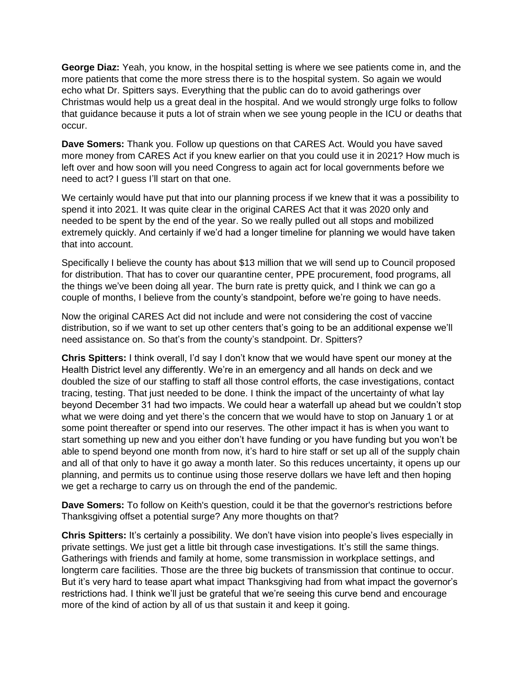**George Diaz:** Yeah, you know, in the hospital setting is where we see patients come in, and the more patients that come the more stress there is to the hospital system. So again we would echo what Dr. Spitters says. Everything that the public can do to avoid gatherings over Christmas would help us a great deal in the hospital. And we would strongly urge folks to follow that guidance because it puts a lot of strain when we see young people in the ICU or deaths that occur.

**Dave Somers:** Thank you. Follow up questions on that CARES Act. Would you have saved more money from CARES Act if you knew earlier on that you could use it in 2021? How much is left over and how soon will you need Congress to again act for local governments before we need to act? I guess I'll start on that one.

We certainly would have put that into our planning process if we knew that it was a possibility to spend it into 2021. It was quite clear in the original CARES Act that it was 2020 only and needed to be spent by the end of the year. So we really pulled out all stops and mobilized extremely quickly. And certainly if we'd had a longer timeline for planning we would have taken that into account.

Specifically I believe the county has about \$13 million that we will send up to Council proposed for distribution. That has to cover our quarantine center, PPE procurement, food programs, all the things we've been doing all year. The burn rate is pretty quick, and I think we can go a couple of months, I believe from the county's standpoint, before we're going to have needs.

Now the original CARES Act did not include and were not considering the cost of vaccine distribution, so if we want to set up other centers that's going to be an additional expense we'll need assistance on. So that's from the county's standpoint. Dr. Spitters?

**Chris Spitters:** I think overall, I'd say I don't know that we would have spent our money at the Health District level any differently. We're in an emergency and all hands on deck and we doubled the size of our staffing to staff all those control efforts, the case investigations, contact tracing, testing. That just needed to be done. I think the impact of the uncertainty of what lay beyond December 31 had two impacts. We could hear a waterfall up ahead but we couldn't stop what we were doing and yet there's the concern that we would have to stop on January 1 or at some point thereafter or spend into our reserves. The other impact it has is when you want to start something up new and you either don't have funding or you have funding but you won't be able to spend beyond one month from now, it's hard to hire staff or set up all of the supply chain and all of that only to have it go away a month later. So this reduces uncertainty, it opens up our planning, and permits us to continue using those reserve dollars we have left and then hoping we get a recharge to carry us on through the end of the pandemic.

**Dave Somers:** To follow on Keith's question, could it be that the governor's restrictions before Thanksgiving offset a potential surge? Any more thoughts on that?

**Chris Spitters:** It's certainly a possibility. We don't have vision into people's lives especially in private settings. We just get a little bit through case investigations. It's still the same things. Gatherings with friends and family at home, some transmission in workplace settings, and longterm care facilities. Those are the three big buckets of transmission that continue to occur. But it's very hard to tease apart what impact Thanksgiving had from what impact the governor's restrictions had. I think we'll just be grateful that we're seeing this curve bend and encourage more of the kind of action by all of us that sustain it and keep it going.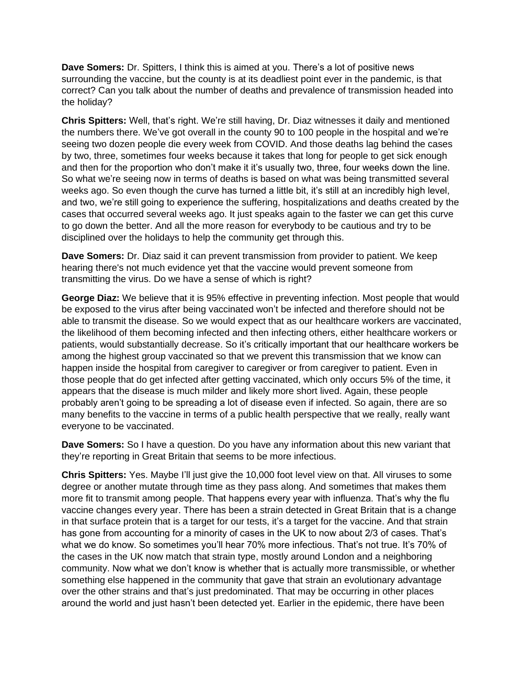**Dave Somers:** Dr. Spitters, I think this is aimed at you. There's a lot of positive news surrounding the vaccine, but the county is at its deadliest point ever in the pandemic, is that correct? Can you talk about the number of deaths and prevalence of transmission headed into the holiday?

**Chris Spitters:** Well, that's right. We're still having, Dr. Diaz witnesses it daily and mentioned the numbers there. We've got overall in the county 90 to 100 people in the hospital and we're seeing two dozen people die every week from COVID. And those deaths lag behind the cases by two, three, sometimes four weeks because it takes that long for people to get sick enough and then for the proportion who don't make it it's usually two, three, four weeks down the line. So what we're seeing now in terms of deaths is based on what was being transmitted several weeks ago. So even though the curve has turned a little bit, it's still at an incredibly high level, and two, we're still going to experience the suffering, hospitalizations and deaths created by the cases that occurred several weeks ago. It just speaks again to the faster we can get this curve to go down the better. And all the more reason for everybody to be cautious and try to be disciplined over the holidays to help the community get through this.

**Dave Somers:** Dr. Diaz said it can prevent transmission from provider to patient. We keep hearing there's not much evidence yet that the vaccine would prevent someone from transmitting the virus. Do we have a sense of which is right?

**George Diaz:** We believe that it is 95% effective in preventing infection. Most people that would be exposed to the virus after being vaccinated won't be infected and therefore should not be able to transmit the disease. So we would expect that as our healthcare workers are vaccinated, the likelihood of them becoming infected and then infecting others, either healthcare workers or patients, would substantially decrease. So it's critically important that our healthcare workers be among the highest group vaccinated so that we prevent this transmission that we know can happen inside the hospital from caregiver to caregiver or from caregiver to patient. Even in those people that do get infected after getting vaccinated, which only occurs 5% of the time, it appears that the disease is much milder and likely more short lived. Again, these people probably aren't going to be spreading a lot of disease even if infected. So again, there are so many benefits to the vaccine in terms of a public health perspective that we really, really want everyone to be vaccinated.

**Dave Somers:** So I have a question. Do you have any information about this new variant that they're reporting in Great Britain that seems to be more infectious.

**Chris Spitters:** Yes. Maybe I'll just give the 10,000 foot level view on that. All viruses to some degree or another mutate through time as they pass along. And sometimes that makes them more fit to transmit among people. That happens every year with influenza. That's why the flu vaccine changes every year. There has been a strain detected in Great Britain that is a change in that surface protein that is a target for our tests, it's a target for the vaccine. And that strain has gone from accounting for a minority of cases in the UK to now about 2/3 of cases. That's what we do know. So sometimes you'll hear 70% more infectious. That's not true. It's 70% of the cases in the UK now match that strain type, mostly around London and a neighboring community. Now what we don't know is whether that is actually more transmissible, or whether something else happened in the community that gave that strain an evolutionary advantage over the other strains and that's just predominated. That may be occurring in other places around the world and just hasn't been detected yet. Earlier in the epidemic, there have been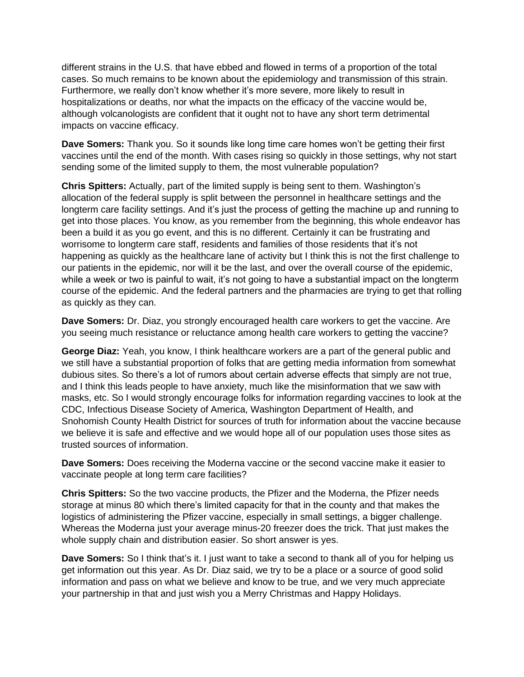different strains in the U.S. that have ebbed and flowed in terms of a proportion of the total cases. So much remains to be known about the epidemiology and transmission of this strain. Furthermore, we really don't know whether it's more severe, more likely to result in hospitalizations or deaths, nor what the impacts on the efficacy of the vaccine would be, although volcanologists are confident that it ought not to have any short term detrimental impacts on vaccine efficacy.

**Dave Somers:** Thank you. So it sounds like long time care homes won't be getting their first vaccines until the end of the month. With cases rising so quickly in those settings, why not start sending some of the limited supply to them, the most vulnerable population?

**Chris Spitters:** Actually, part of the limited supply is being sent to them. Washington's allocation of the federal supply is split between the personnel in healthcare settings and the longterm care facility settings. And it's just the process of getting the machine up and running to get into those places. You know, as you remember from the beginning, this whole endeavor has been a build it as you go event, and this is no different. Certainly it can be frustrating and worrisome to longterm care staff, residents and families of those residents that it's not happening as quickly as the healthcare lane of activity but I think this is not the first challenge to our patients in the epidemic, nor will it be the last, and over the overall course of the epidemic, while a week or two is painful to wait, it's not going to have a substantial impact on the longterm course of the epidemic. And the federal partners and the pharmacies are trying to get that rolling as quickly as they can.

**Dave Somers:** Dr. Diaz, you strongly encouraged health care workers to get the vaccine. Are you seeing much resistance or reluctance among health care workers to getting the vaccine?

**George Diaz:** Yeah, you know, I think healthcare workers are a part of the general public and we still have a substantial proportion of folks that are getting media information from somewhat dubious sites. So there's a lot of rumors about certain adverse effects that simply are not true, and I think this leads people to have anxiety, much like the misinformation that we saw with masks, etc. So I would strongly encourage folks for information regarding vaccines to look at the CDC, Infectious Disease Society of America, Washington Department of Health, and Snohomish County Health District for sources of truth for information about the vaccine because we believe it is safe and effective and we would hope all of our population uses those sites as trusted sources of information.

**Dave Somers:** Does receiving the Moderna vaccine or the second vaccine make it easier to vaccinate people at long term care facilities?

**Chris Spitters:** So the two vaccine products, the Pfizer and the Moderna, the Pfizer needs storage at minus 80 which there's limited capacity for that in the county and that makes the logistics of administering the Pfizer vaccine, especially in small settings, a bigger challenge. Whereas the Moderna just your average minus-20 freezer does the trick. That just makes the whole supply chain and distribution easier. So short answer is yes.

**Dave Somers:** So I think that's it. I just want to take a second to thank all of you for helping us get information out this year. As Dr. Diaz said, we try to be a place or a source of good solid information and pass on what we believe and know to be true, and we very much appreciate your partnership in that and just wish you a Merry Christmas and Happy Holidays.